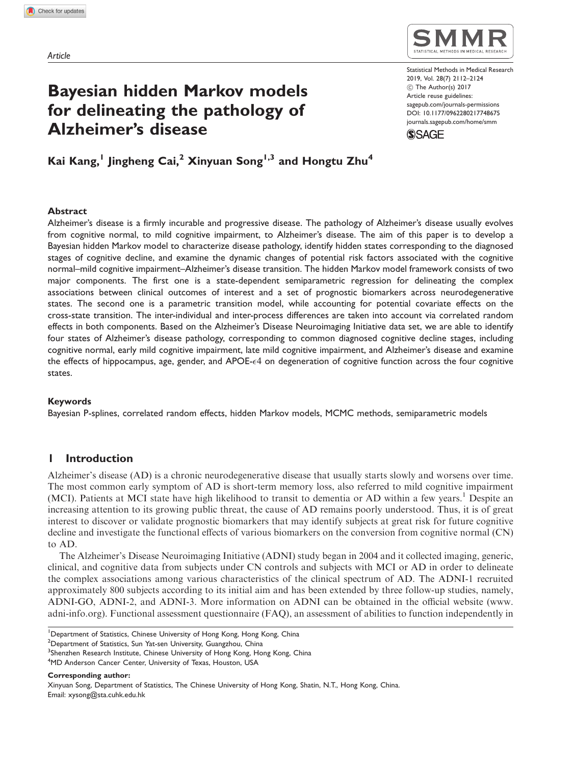# Bayesian hidden Markov models for delineating the pathology of Alzheimer's disease

Statistical Methods in Medical Research 2019, Vol. 28(7) 2112–2124 ! The Author(s) 2017 Article reuse guidelines: [sagepub.com/journals-permissions](https://uk.sagepub.com/en-gb/journals-permissions) DOI: [10.1177/0962280217748675](https://doi.org/10.1177/0962280217748675) <journals.sagepub.com/home/smm>

**SSAGE** 

Kai Kang,<sup>1</sup> Jingheng Cai,<sup>2</sup> Xinyuan Song<sup>1,3</sup> and Hongtu Zhu<sup>4</sup>

#### Abstract

Alzheimer's disease is a firmly incurable and progressive disease. The pathology of Alzheimer's disease usually evolves from cognitive normal, to mild cognitive impairment, to Alzheimer's disease. The aim of this paper is to develop a Bayesian hidden Markov model to characterize disease pathology, identify hidden states corresponding to the diagnosed stages of cognitive decline, and examine the dynamic changes of potential risk factors associated with the cognitive normal–mild cognitive impairment–Alzheimer's disease transition. The hidden Markov model framework consists of two major components. The first one is a state-dependent semiparametric regression for delineating the complex associations between clinical outcomes of interest and a set of prognostic biomarkers across neurodegenerative states. The second one is a parametric transition model, while accounting for potential covariate effects on the cross-state transition. The inter-individual and inter-process differences are taken into account via correlated random effects in both components. Based on the Alzheimer's Disease Neuroimaging Initiative data set, we are able to identify four states of Alzheimer's disease pathology, corresponding to common diagnosed cognitive decline stages, including cognitive normal, early mild cognitive impairment, late mild cognitive impairment, and Alzheimer's disease and examine the effects of hippocampus, age, gender, and APOE- $\epsilon$ 4 on degeneration of cognitive function across the four cognitive states.

## Keywords

Bayesian P-splines, correlated random effects, hidden Markov models, MCMC methods, semiparametric models

# 1 Introduction

Alzheimer's disease (AD) is a chronic neurodegenerative disease that usually starts slowly and worsens over time. The most common early symptom of AD is short-term memory loss, also referred to mild cognitive impairment (MCI). Patients at MCI state have high likelihood to transit to dementia or AD within a few years.<sup>1</sup> Despite an increasing attention to its growing public threat, the cause of AD remains poorly understood. Thus, it is of great interest to discover or validate prognostic biomarkers that may identify subjects at great risk for future cognitive decline and investigate the functional effects of various biomarkers on the conversion from cognitive normal (CN) to AD.

The Alzheimer's Disease Neuroimaging Initiative (ADNI) study began in 2004 and it collected imaging, generic, clinical, and cognitive data from subjects under CN controls and subjects with MCI or AD in order to delineate the complex associations among various characteristics of the clinical spectrum of AD. The ADNI-1 recruited approximately 800 subjects according to its initial aim and has been extended by three follow-up studies, namely, ADNI-GO, ADNI-2, and ADNI-3. More information on ADNI can be obtained in the official website ([www.](www.adni-info.org) [adni-info.org\)](www.adni-info.org). Functional assessment questionnaire (FAQ), an assessment of abilities to function independently in

4 MD Anderson Cancer Center, University of Texas, Houston, USA

<sup>&</sup>lt;sup>1</sup>Department of Statistics, Chinese University of Hong Kong, Hong Kong, China

<sup>&</sup>lt;sup>2</sup> Department of Statistics, Sun Yat-sen University, Guangzhou, China

 $^3$ Shenzhen Research Institute, Chinese University of Hong Kong, Hong Kong, China

Corresponding author:

Xinyuan Song, Department of Statistics, The Chinese University of Hong Kong, Shatin, N.T., Hong Kong, China. Email: xysong@sta.cuhk.edu.hk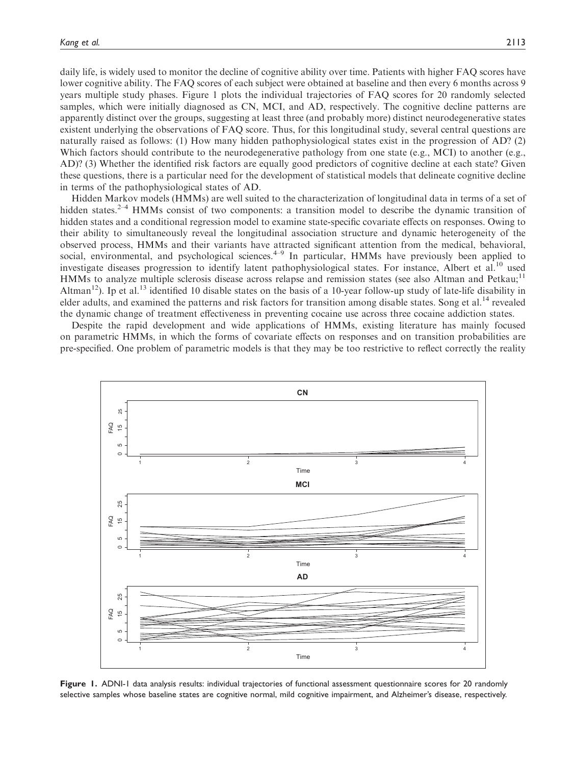daily life, is widely used to monitor the decline of cognitive ability over time. Patients with higher FAQ scores have lower cognitive ability. The FAQ scores of each subject were obtained at baseline and then every 6 months across 9 years multiple study phases. Figure 1 plots the individual trajectories of FAQ scores for 20 randomly selected samples, which were initially diagnosed as CN, MCI, and AD, respectively. The cognitive decline patterns are apparently distinct over the groups, suggesting at least three (and probably more) distinct neurodegenerative states existent underlying the observations of FAQ score. Thus, for this longitudinal study, several central questions are naturally raised as follows: (1) How many hidden pathophysiological states exist in the progression of AD? (2) Which factors should contribute to the neurodegenerative pathology from one state (e.g., MCI) to another (e.g., AD)? (3) Whether the identified risk factors are equally good predictors of cognitive decline at each state? Given these questions, there is a particular need for the development of statistical models that delineate cognitive decline in terms of the pathophysiological states of AD.

Hidden Markov models (HMMs) are well suited to the characterization of longitudinal data in terms of a set of hidden states.<sup>2–4</sup> HMMs consist of two components: a transition model to describe the dynamic transition of hidden states and a conditional regression model to examine state-specific covariate effects on responses. Owing to their ability to simultaneously reveal the longitudinal association structure and dynamic heterogeneity of the observed process, HMMs and their variants have attracted significant attention from the medical, behavioral, social, environmental, and psychological sciences.<sup>4–9</sup> In particular, HMMs have previously been applied to investigate diseases progression to identify latent pathophysiological states. For instance, Albert et al.<sup>10</sup> used HMMs to analyze multiple sclerosis disease across relapse and remission states (see also Altman and Petkau;<sup>11</sup> Altman<sup>12</sup>). Ip et al.<sup>13</sup> identified 10 disable states on the basis of a 10-year follow-up study of late-life disability in elder adults, and examined the patterns and risk factors for transition among disable states. Song et al.<sup>14</sup> revealed the dynamic change of treatment effectiveness in preventing cocaine use across three cocaine addiction states.

Despite the rapid development and wide applications of HMMs, existing literature has mainly focused on parametric HMMs, in which the forms of covariate effects on responses and on transition probabilities are pre-specified. One problem of parametric models is that they may be too restrictive to reflect correctly the reality



Figure 1. ADNI-1 data analysis results: individual trajectories of functional assessment questionnaire scores for 20 randomly selective samples whose baseline states are cognitive normal, mild cognitive impairment, and Alzheimer's disease, respectively.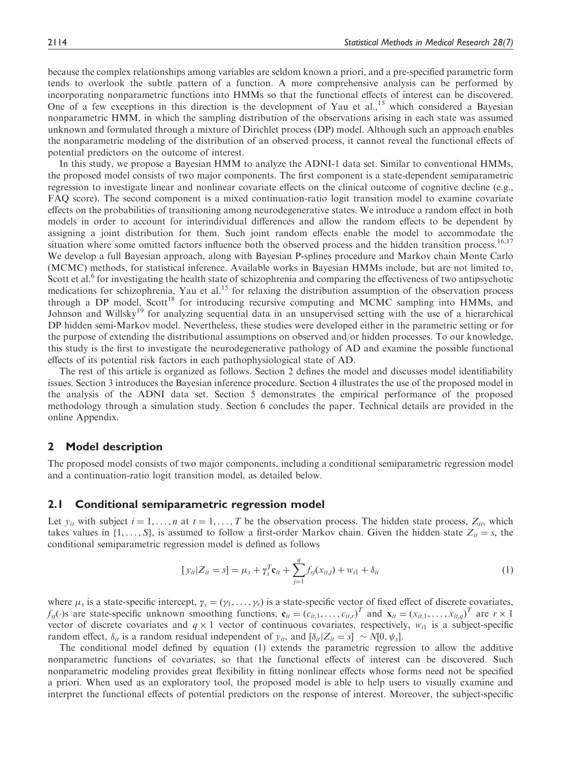because the complex relationships among variables are seldom known a priori, and a pre-specified parametric form tends to overlook the subtle pattern of a function. A more comprehensive analysis can be performed by incorporating nonparametric functions into HMMs so that the functional effects of interest can be discovered. One of a few exceptions in this direction is the development of Yau et al.,<sup>15</sup> which considered a Bayesian nonparametric HMM, in which the sampling distribution of the observations arising in each state was assumed unknown and formulated through a mixture of Dirichlet process (DP) model. Although such an approach enables the nonparametric modeling of the distribution of an observed process, it cannot reveal the functional effects of potential predictors on the outcome of interest.

In this study, we propose a Bayesian HMM to analyze the ADNI-1 data set. Similar to conventional HMMs, the proposed model consists of two major components. The first component is a state-dependent semiparametric regression to investigate linear and nonlinear covariate effects on the clinical outcome of cognitive decline (e.g., FAQ score). The second component is a mixed continuation-ratio logit transition model to examine covariate effects on the probabilities of transitioning among neurodegenerative states. We introduce a random effect in both models in order to account for interindividual differences and allow the random effects to be dependent by assigning a joint distribution for them. Such joint random effects enable the model to accommodate the situation where some omitted factors influence both the observed process and the hidden transition process.<sup>16,17</sup> We develop a full Bayesian approach, along with Bayesian P-splines procedure and Markov chain Monte Carlo (MCMC) methods, for statistical inference. Available works in Bayesian HMMs include, but are not limited to, Scott et al.<sup>6</sup> for investigating the health state of schizophrenia and comparing the effectiveness of two antipsychotic medications for schizophrenia, Yau et al.<sup>15</sup> for relaxing the distribution assumption of the observation process through a DP model, Scott<sup>18</sup> for introducing recursive computing and MCMC sampling into HMMs, and Johnson and Willsky<sup>19</sup> for analyzing sequential data in an unsupervised setting with the use of a hierarchical DP hidden semi-Markov model. Nevertheless, these studies were developed either in the parametric setting or for the purpose of extending the distributional assumptions on observed and/or hidden processes. To our knowledge, this study is the first to investigate the neurodegenerative pathology of AD and examine the possible functional effects of its potential risk factors in each pathophysiological state of AD.

The rest of this article is organized as follows. Section 2 defines the model and discusses model identifiability issues. Section 3 introduces the Bayesian inference procedure. Section 4 illustrates the use of the proposed model in the analysis of the ADNI data set. Section 5 demonstrates the empirical performance of the proposed methodology through a simulation study. Section 6 concludes the paper. Technical details are provided in the online Appendix.

## 2 Model description

The proposed model consists of two major components, including a conditional semiparametric regression model and a continuation-ratio logit transition model, as detailed below.

# 2.1 Conditional semiparametric regression model

Let  $y_{it}$  with subject  $i = 1, \ldots, n$  at  $t = 1, \ldots, T$  be the observation process. The hidden state process,  $Z_{it}$ , which takes values in  $\{1, \ldots, S\}$ , is assumed to follow a first-order Markov chain. Given the hidden state  $Z_{it} = s$ , the conditional semiparametric regression model is defined as follows

$$
[y_{it}|Z_{it} = s] = \mu_s + \gamma_s^T \mathbf{c}_{it} + \sum_{j=1}^q f_{sj}(x_{it,j}) + w_{i1} + \delta_{it}
$$
(1)

where  $\mu_s$  is a state-specific intercept,  $\gamma_s = (\gamma_1, \dots, \gamma_r)$  is a state-specific vector of fixed effect of discrete covariates,  $f_{sj}(\cdot)$ s are state-specific unknown smoothing functions,  $\mathbf{c}_{it} = (c_{it,1}, \dots, c_{it,r})^T$  and  $\mathbf{x}_{it} = (x_{it,1}, \dots, x_{it,q})^T$  are  $r \times 1$ vector of discrete covariates and  $q \times 1$  vector of continuous covariates, respectively,  $w_{i1}$  is a subject-specific random effect,  $\delta_{it}$  is a random residual independent of  $y_{it}$ , and  $[\delta_{it} | Z_{it} = s] \sim N[0, \psi_s]$ .

The conditional model defined by equation (1) extends the parametric regression to allow the additive nonparametric functions of covariates, so that the functional effects of interest can be discovered. Such nonparametric modeling provides great flexibility in fitting nonlinear effects whose forms need not be specified a priori. When used as an exploratory tool, the proposed model is able to help users to visually examine and interpret the functional effects of potential predictors on the response of interest. Moreover, the subject-specific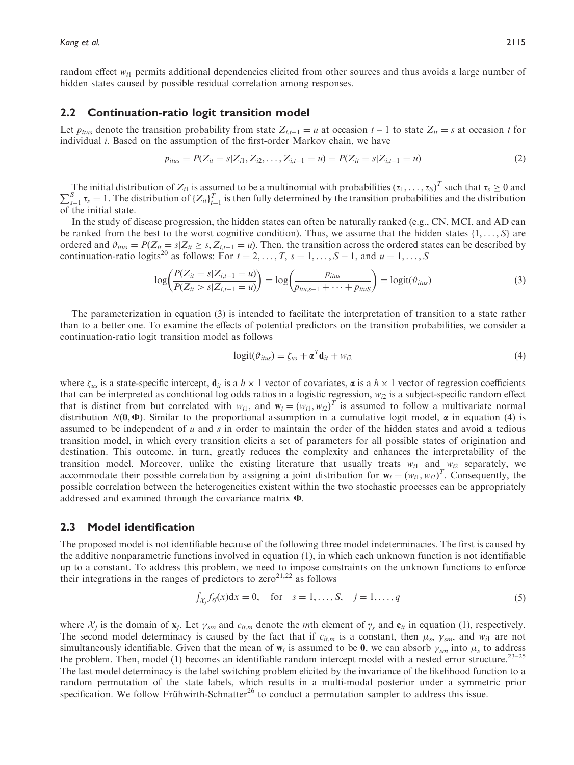random effect  $w_{i1}$  permits additional dependencies elicited from other sources and thus avoids a large number of hidden states caused by possible residual correlation among responses.

# 2.2 Continuation-ratio logit transition model

Let  $p_{itus}$  denote the transition probability from state  $Z_{i,t-1} = u$  at occasion  $t-1$  to state  $Z_{it} = s$  at occasion t for individual i. Based on the assumption of the first-order Markov chain, we have

$$
p_{itus} = P(Z_{it} = s | Z_{i1}, Z_{i2}, \dots, Z_{i,t-1} = u) = P(Z_{it} = s | Z_{i,t-1} = u)
$$
\n(2)

The initial distribution of  $Z_{i1}$  is assumed to be a multinomial with probabilities  $(\tau_1, \ldots, \tau_S)^T$  such that  $\tau_s \ge 0$  and  $\sum_{s=1}^{S} \tau_s = 1$ . The distribution of  $\{Z_{it}\}_{t=1}^{T}$  is then fully determined by the transition probabilities and the distribution of the initial state.

In the study of disease progression, the hidden states can often be naturally ranked (e.g., CN, MCI, and AD can be ranked from the best to the worst cognitive condition). Thus, we assume that the hidden states  $\{1, \ldots, S\}$  are ordered and  $\vartheta_{itus} = P(Z_{it} = s | Z_{it} \ge s, Z_{i,t-1} = u)$ . Then, the transition across the ordered states can be described by continuation-ratio logits<sup>20</sup> as follows: For  $t = 2, ..., T$ ,  $s = 1, ..., S - 1$ , and  $u = 1, ..., S$ 

$$
\log \left( \frac{P(Z_{it} = s | Z_{i,t-1} = u)}{P(Z_{it} > s | Z_{i,t-1} = u)} \right) = \log \left( \frac{p_{itus}}{p_{itu,s+1} + \dots + p_{ituS}} \right) = \log \left( \vartheta_{itus} \right)
$$
(3)

The parameterization in equation (3) is intended to facilitate the interpretation of transition to a state rather than to a better one. To examine the effects of potential predictors on the transition probabilities, we consider a continuation-ratio logit transition model as follows

$$
logit(\vartheta_{itus}) = \zeta_{us} + \mathbf{\alpha}^T \mathbf{d}_{it} + w_{i2}
$$
 (4)

where  $\zeta_{us}$  is a state-specific intercept,  $\mathbf{d}_{it}$  is a  $h \times 1$  vector of covariates,  $\boldsymbol{\alpha}$  is a  $h \times 1$  vector of regression coefficients that can be interpreted as conditional log odds ratios in a logistic regression,  $w_{i2}$  is a subject-specific random effect that is distinct from but correlated with  $w_{i1}$ , and  $\mathbf{w}_i = (w_{i1}, w_{i2})^T$  is assumed to follow a multivariate normal distribution  $N(0, \Phi)$ . Similar to the proportional assumption in a cumulative logit model,  $\alpha$  in equation (4) is assumed to be independent of  $u$  and  $s$  in order to maintain the order of the hidden states and avoid a tedious transition model, in which every transition elicits a set of parameters for all possible states of origination and destination. This outcome, in turn, greatly reduces the complexity and enhances the interpretability of the transition model. Moreover, unlike the existing literature that usually treats  $w_{i1}$  and  $w_{i2}$  separately, we accommodate their possible correlation by assigning a joint distribution for  $\mathbf{w}_i = (w_{i1}, w_{i2})^T$ . Consequently, the possible correlation between the heterogeneities existent within the two stochastic processes can be appropriately addressed and examined through the covariance matrix  $\Phi$ .

# 2.3 Model identification

The proposed model is not identifiable because of the following three model indeterminacies. The first is caused by the additive nonparametric functions involved in equation (1), in which each unknown function is not identifiable up to a constant. To address this problem, we need to impose constraints on the unknown functions to enforce their integrations in the ranges of predictors to  $zero^{21,22}$  as follows

$$
\int_{\mathcal{X}_j} f_{sj}(x) dx = 0
$$
, for  $s = 1, ..., S$ ,  $j = 1, ..., q$  (5)

where  $\mathcal{X}_j$  is the domain of  $\mathbf{x}_j$ . Let  $\gamma_{sm}$  and  $c_{it,m}$  denote the mth element of  $\gamma_s$  and  $\mathbf{c}_{it}$  in equation (1), respectively. The second model determinacy is caused by the fact that if  $c_{it,m}$  is a constant, then  $\mu_s$ ,  $\gamma_{sm}$ , and  $w_{i1}$  are not simultaneously identifiable. Given that the mean of  $w_i$  is assumed to be 0, we can absorb  $\gamma_{sm}$  into  $\mu_s$  to address the problem. Then, model (1) becomes an identifiable random intercept model with a nested error structure.<sup>23–25</sup> The last model determinacy is the label switching problem elicited by the invariance of the likelihood function to a random permutation of the state labels, which results in a multi-modal posterior under a symmetric prior specification. We follow Frühwirth-Schnatter<sup>26</sup> to conduct a permutation sampler to address this issue.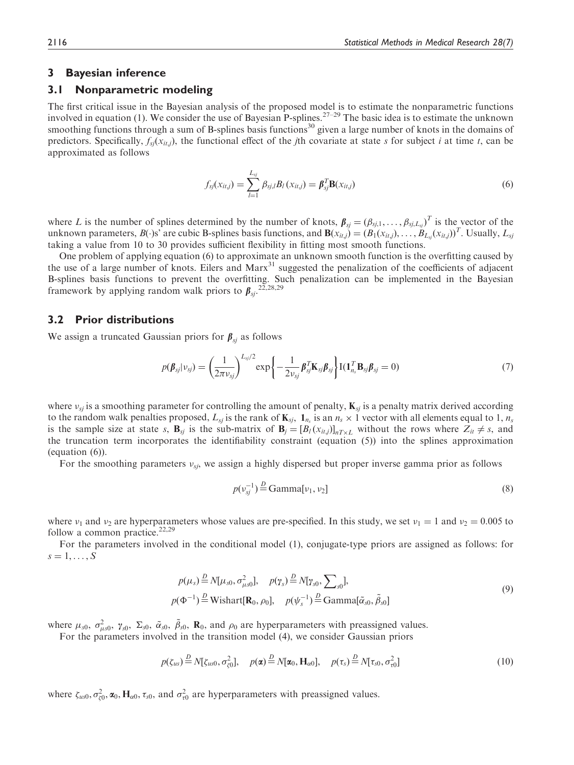# 3 Bayesian inference

# 3.1 Nonparametric modeling

The first critical issue in the Bayesian analysis of the proposed model is to estimate the nonparametric functions involved in equation (1). We consider the use of Bayesian P-splines.<sup>27–29</sup> The basic idea is to estimate the unknown smoothing functions through a sum of B-splines basis functions<sup>30</sup> given a large number of knots in the domains of predictors. Specifically,  $f_s(x_{it,j})$ , the functional effect of the *j*th covariate at state s for subject i at time t, can be approximated as follows

$$
f_{sj}(x_{it,j}) = \sum_{l=1}^{L_{sj}} \beta_{sj,l} B_l(x_{it,j}) = \beta_{sj}^T \mathbf{B}(x_{it,j})
$$
(6)

where L is the number of splines determined by the number of knots,  $\beta_{sj} = (\beta_{sj,1}, \dots, \beta_{sj,L_{sj}})^T$  is the vector of the unknown parameters,  $B(\cdot)$ s' are cubic B-splines basis functions, and  $\mathbf{B}(x_{it,j}) = (B_1(x_{it,j}), \ldots, B_{L_q}(x_{it,j}))^T$ . Usually,  $L_{si}$ taking a value from 10 to 30 provides sufficient flexibility in fitting most smooth functions.

One problem of applying equation (6) to approximate an unknown smooth function is the overfitting caused by the use of a large number of knots. Eilers and Marx<sup>31</sup> suggested the penalization of the coefficients of adjacent B-splines basis functions to prevent the overfitting. Such penalization can be implemented in the Bayesian framework by applying random walk priors to  $\beta_{sj}$ .  $^{25,28,29}$ 

# 3.2 Prior distributions

We assign a truncated Gaussian priors for  $\beta_{si}$  as follows

$$
p(\boldsymbol{\beta}_{sj}|\nu_{sj}) = \left(\frac{1}{2\pi\nu_{sj}}\right)^{L_{sj}/2} \exp\left\{-\frac{1}{2\nu_{sj}}\boldsymbol{\beta}_{sj}^{T}\mathbf{K}_{sj}\boldsymbol{\beta}_{sj}\right\} I(\mathbf{1}_{n_s}^{T}\mathbf{B}_{sj}\boldsymbol{\beta}_{sj} = 0)
$$
(7)

where  $v_{sj}$  is a smoothing parameter for controlling the amount of penalty,  $K_{sj}$  is a penalty matrix derived according to the random walk penalties proposed,  $L_{sj}$  is the rank of  $\mathbf{K}_{sj}$ ,  $\mathbf{1}_{n_s}$  is an  $n_s \times 1$  vector with all elements equal to 1,  $n_s$ is the sample size at state s,  $\mathbf{B}_{sj}$  is the sub-matrix of  $\mathbf{B}_j = [B_l(x_{it,j})]_{n \in \mathbb{R}}$  without the rows where  $Z_{it} \neq s$ , and the truncation term incorporates the identifiability constraint (equation (5)) into the splines approximation (equation (6)).

For the smoothing parameters  $v_{si}$ , we assign a highly dispersed but proper inverse gamma prior as follows

$$
p(v_{sj}^{-1}) \stackrel{D}{=} \text{Gamma}[v_1, v_2] \tag{8}
$$

where  $v_1$  and  $v_2$  are hyperparameters whose values are pre-specified. In this study, we set  $v_1 = 1$  and  $v_2 = 0.005$  to follow a common practice. $22,29$ 

For the parameters involved in the conditional model (1), conjugate-type priors are assigned as follows: for  $s = 1, \ldots, S$ 

$$
p(\mu_s) \stackrel{D}{=} N[\mu_{s0}, \sigma_{\mu s0}^2], \quad p(\gamma_s) \stackrel{D}{=} N[\gamma_{s0}, \sum_{s0}],
$$
  
 
$$
p(\Phi^{-1}) \stackrel{D}{=} \text{Wishart}[\mathbf{R}_0, \rho_0], \quad p(\psi_s^{-1}) \stackrel{D}{=} \text{Gamma}[\tilde{\alpha}_{s0}, \tilde{\beta}_{s0}]
$$
 (9)

where  $\mu_{s0}$ ,  $\sigma_{\mu s0}^2$ ,  $\gamma_{s0}$ ,  $\Sigma_{s0}$ ,  $\tilde{\alpha}_{s0}$ ,  $\tilde{\beta}_{s0}$ ,  $\mathbf{R}_0$ , and  $\rho_0$  are hyperparameters with preassigned values.

For the parameters involved in the transition model (4), we consider Gaussian priors

$$
p(\zeta_{us}) \stackrel{D}{=} N[\zeta_{us0}, \sigma_{\zeta 0}^2], \quad p(\mathbf{\alpha}) \stackrel{D}{=} N[\mathbf{\alpha}_0, \mathbf{H}_{\alpha 0}], \quad p(\tau_s) \stackrel{D}{=} N[\tau_{s0}, \sigma_{\tau 0}^2]
$$
(10)

where  $\zeta_{uso}, \sigma_{\zeta0}^2, \alpha_0, H_{\alpha0}, \tau_{s0}$ , and  $\sigma_{\tau0}^2$  are hyperparameters with preassigned values.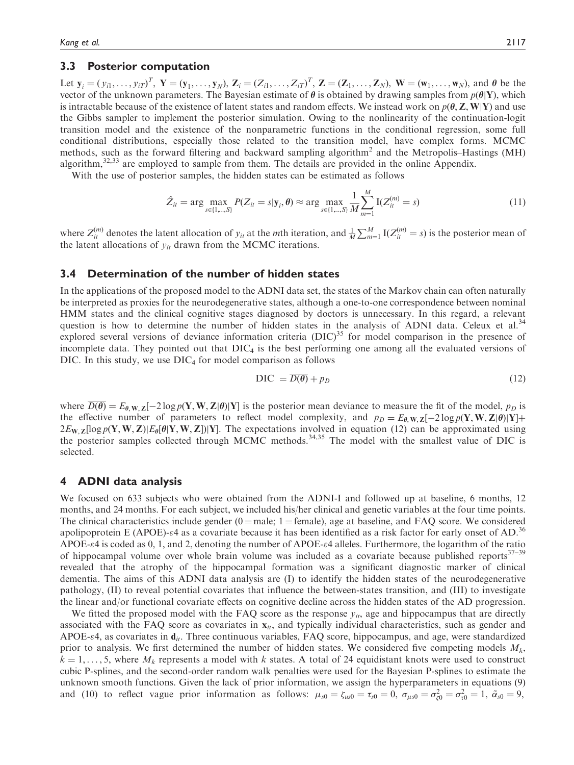# 3.3 Posterior computation

Let  $y_i = (y_{i1}, \dots, y_{iT})^T$ ,  $Y = (y_1, \dots, y_N)$ ,  $Z_i = (Z_{i1}, \dots, Z_{iT})^T$ ,  $Z = (Z_1, \dots, Z_N)$ ,  $W = (w_1, \dots, w_N)$ , and  $\theta$  be the vector of the unknown parameters. The Bayesian estimate of  $\theta$  is obtained by drawing samples from  $p(\theta|Y)$ , which is intractable because of the existence of latent states and random effects. We instead work on  $p(\theta, Z, W|Y)$  and use the Gibbs sampler to implement the posterior simulation. Owing to the nonlinearity of the continuation-logit transition model and the existence of the nonparametric functions in the conditional regression, some full conditional distributions, especially those related to the transition model, have complex forms. MCMC methods, such as the forward filtering and backward sampling algorithm<sup>2</sup> and the Metropolis–Hastings (MH) algorithm,<sup>32,33</sup> are employed to sample from them. The details are provided in the online Appendix.

With the use of posterior samples, the hidden states can be estimated as follows

$$
\hat{Z}_{it} = \arg \max_{s \in \{1, \dots, S\}} P(Z_{it} = s | \mathbf{y}_i, \theta) \approx \arg \max_{s \in \{1, \dots, S\}} \frac{1}{M} \sum_{m=1}^{M} I(Z_{it}^{(m)} = s)
$$
(11)

where  $Z_{it}^{(m)}$  denotes the latent allocation of  $y_{it}$  at the *m*th iteration, and  $\frac{1}{M}\sum_{m=1}^{M} I(Z_{it}^{(m)} = s)$  is the posterior mean of the latent allocations of  $y_{it}$  drawn from the MCMC iterations.

# 3.4 Determination of the number of hidden states

In the applications of the proposed model to the ADNI data set, the states of the Markov chain can often naturally be interpreted as proxies for the neurodegenerative states, although a one-to-one correspondence between nominal HMM states and the clinical cognitive stages diagnosed by doctors is unnecessary. In this regard, a relevant question is how to determine the number of hidden states in the analysis of ADNI data. Celeux et al.<sup>34</sup> explored several versions of deviance information criteria  $(DIC)^{35}$  for model comparison in the presence of incomplete data. They pointed out that  $DIC<sub>4</sub>$  is the best performing one among all the evaluated versions of DIC. In this study, we use  $DIC<sub>4</sub>$  for model comparison as follows

$$
DIC = \overline{D(\theta)} + p_D \tag{12}
$$

where  $D(\theta) = E_{\theta, W, Z}[-2 \log p(Y, W, Z|\theta)|Y]$  is the posterior mean deviance to measure the fit of the model,  $p_D$  is the effective number of parameters to reflect model complexity, and  $p_D = E_{\theta, \mathbf{W}, \mathbf{Z}}[-2 \log p(\mathbf{Y}, \mathbf{W}, \mathbf{Z} | \theta) | \mathbf{Y}] +$  $2E_{W,Z}[\log p(Y, W, Z)]E_{\theta}[\theta|Y, W, Z]]$  The expectations involved in equation (12) can be approximated using the posterior samples collected through MCMC methods.<sup>34,35</sup> The model with the smallest value of DIC is selected.

# 4 ADNI data analysis

We focused on 633 subjects who were obtained from the ADNI-I and followed up at baseline, 6 months, 12 months, and 24 months. For each subject, we included his/her clinical and genetic variables at the four time points. The clinical characteristics include gender  $(0)$  male; 1 = female), age at baseline, and FAQ score. We considered apolipoprotein E (APOE)- $\varepsilon$ 4 as a covariate because it has been identified as a risk factor for early onset of AD.<sup>36</sup> APOE- $\varepsilon$ 4 is coded as 0, 1, and 2, denoting the number of APOE- $\varepsilon$ 4 alleles. Furthermore, the logarithm of the ratio of hippocampal volume over whole brain volume was included as a covariate because published reports $37-39$ revealed that the atrophy of the hippocampal formation was a significant diagnostic marker of clinical dementia. The aims of this ADNI data analysis are (I) to identify the hidden states of the neurodegenerative pathology, (II) to reveal potential covariates that influence the between-states transition, and (III) to investigate the linear and/or functional covariate effects on cognitive decline across the hidden states of the AD progression.

We fitted the proposed model with the FAQ score as the response  $y_{it}$ , age and hippocampus that are directly associated with the FAQ score as covariates in  $x_{it}$ , and typically individual characteristics, such as gender and APOE- $\epsilon$ 4, as covariates in  $\mathbf{d}_{it}$ . Three continuous variables, FAQ score, hippocampus, and age, were standardized prior to analysis. We first determined the number of hidden states. We considered five competing models  $M_k$ ,  $k = 1, \ldots, 5$ , where  $M_k$  represents a model with k states. A total of 24 equidistant knots were used to construct cubic P-splines, and the second-order random walk penalties were used for the Bayesian P-splines to estimate the unknown smooth functions. Given the lack of prior information, we assign the hyperparameters in equations (9) and (10) to reflect vague prior information as follows:  $\mu_{s0} = \zeta_{u0} = \tau_{s0} = 0$ ,  $\sigma_{\mu s0} = \sigma_{\zeta 0}^2 = \sigma_{\tau 0}^2 = 1$ ,  $\tilde{\alpha}_{s0} = 9$ ,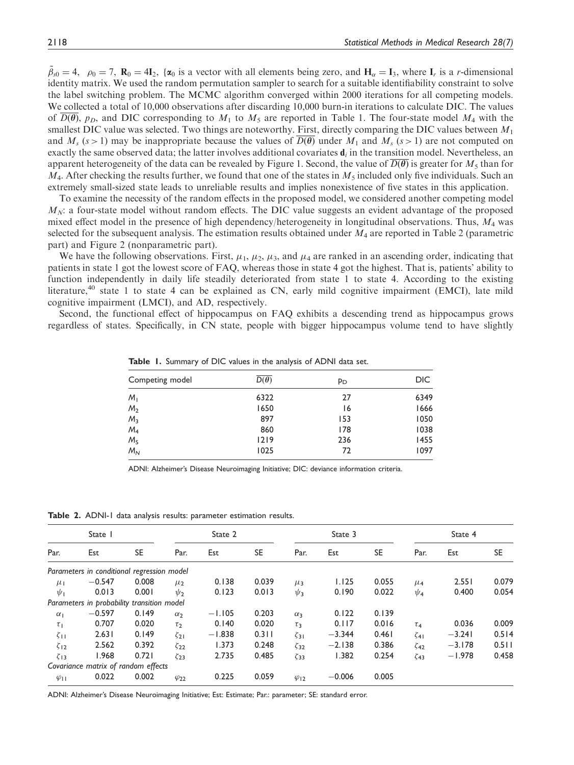$\tilde{\beta}_{s0} = 4$ ,  $\rho_0 = 7$ ,  $\mathbf{R}_0 = 4\mathbf{I}_2$ ,  $\{\alpha_0 \text{ is a vector with all elements being zero, and } \mathbf{H}_\alpha = \mathbf{I}_3$ , where  $\mathbf{I}_r$  is a *r*-dimensional identity matrix. We used the random permutation sampler to search for a suitable identifiability constraint to solve the label switching problem. The MCMC algorithm converged within 2000 iterations for all competing models. We collected a total of 10,000 observations after discarding 10,000 burn-in iterations to calculate DIC. The values of  $\overline{D(\theta)}$ ,  $p_D$ , and DIC corresponding to  $M_1$  to  $M_5$  are reported in Table 1. The four-state model  $M_4$  with the smallest DIC value was selected. Two things are noteworthy. First, directly comparing the DIC values between  $M_1$ and  $M_s$  (s > 1) may be inappropriate because the values of  $\overline{D(\theta)}$  under  $M_1$  and  $M_s$  (s > 1) are not computed on exactly the same observed data; the latter involves additional covariates  $\mathbf{d}_i$  in the transition model. Nevertheless, an apparent heterogeneity of the data can be revealed by Figure 1. Second, the value of  $\overline{D(\theta)}$  is greater for  $M_5$  than for  $M_4$ . After checking the results further, we found that one of the states in  $M_5$  included only five individuals. Such an extremely small-sized state leads to unreliable results and implies nonexistence of five states in this application.

To examine the necessity of the random effects in the proposed model, we considered another competing model  $M_N$ : a four-state model without random effects. The DIC value suggests an evident advantage of the proposed mixed effect model in the presence of high dependency/heterogeneity in longitudinal observations. Thus,  $M_4$  was selected for the subsequent analysis. The estimation results obtained under  $M_4$  are reported in Table 2 (parametric part) and Figure 2 (nonparametric part).

We have the following observations. First,  $\mu_1$ ,  $\mu_2$ ,  $\mu_3$ , and  $\mu_4$  are ranked in an ascending order, indicating that patients in state 1 got the lowest score of FAQ, whereas those in state 4 got the highest. That is, patients' ability to function independently in daily life steadily deteriorated from state 1 to state 4. According to the existing literature,<sup>40</sup> state 1 to state 4 can be explained as CN, early mild cognitive impairment (EMCI), late mild cognitive impairment (LMCI), and AD, respectively.

Second, the functional effect of hippocampus on FAQ exhibits a descending trend as hippocampus grows regardless of states. Specifically, in CN state, people with bigger hippocampus volume tend to have slightly

| Competing model | $D(\theta)$ | P <sub>D</sub> | DIC. |  |  |
|-----------------|-------------|----------------|------|--|--|
| M <sub>1</sub>  | 6322        | 27             | 6349 |  |  |
| M <sub>2</sub>  | 1650        | 16             | 1666 |  |  |
| $M_3$           | 897         | 153            | 1050 |  |  |
| $M_4$           | 860         | 178            | 1038 |  |  |
| M <sub>5</sub>  | 1219        | 236            | 1455 |  |  |
| $M_N$           | 1025        | 72             | 1097 |  |  |

Table 1. Summary of DIC values in the analysis of ADNI data set.

ADNI: Alzheimer's Disease Neuroimaging Initiative; DIC: deviance information criteria.

Table 2. ADNI-1 data analysis results: parameter estimation results.

|                | State                                      |           |                | State 2  |           |                         | State 3  |           |                    | State 4  |           |  |
|----------------|--------------------------------------------|-----------|----------------|----------|-----------|-------------------------|----------|-----------|--------------------|----------|-----------|--|
| Par.           | Est                                        | <b>SE</b> | Par.           | Est      | <b>SE</b> | Par.                    | Est      | <b>SE</b> | Par.               | Est      | <b>SE</b> |  |
|                | Parameters in conditional regression model |           |                |          |           |                         |          |           |                    |          |           |  |
| $\mu_1$        | $-0.547$                                   | 0.008     | $\mu_2$        | 0.138    | 0.039     | $\mu_3$                 | 1.125    | 0.055     | $\mu$ <sub>4</sub> | 2.551    | 0.079     |  |
| $\psi_1$       | 0.013                                      | 0.001     | $\psi_2$       | 0.123    | 0.013     | $\psi_3$                | 0.190    | 0.022     | $\psi_4$           | 0.400    | 0.054     |  |
|                | Parameters in probability transition model |           |                |          |           |                         |          |           |                    |          |           |  |
| $\alpha_1$     | $-0.597$                                   | 0.149     | $\alpha$       | $-1.105$ | 0.203     | $\alpha_{3}$            | 0.122    | 0.139     |                    |          |           |  |
| $\tau_1$       | 0.707                                      | 0.020     | $\tau$         | 0.140    | 0.020     | $\tau_3$                | 0.117    | 0.016     | $\tau_4$           | 0.036    | 0.009     |  |
| $\zeta_{11}$   | 2.631                                      | 0.149     | $\zeta_{21}$   | $-1.838$ | $0.3$     | $\zeta_{31}$            | $-3.344$ | 0.461     | $\zeta_{41}$       | $-3.241$ | 0.514     |  |
| $\zeta_{12}$   | 2.562                                      | 0.392     | $\zeta_{22}$   | 1.373    | 0.248     | $\zeta_{32}$            | $-2.138$ | 0.386     | $\zeta_{42}$       | $-3.178$ | 0.511     |  |
| $\zeta_{13}$   | 1.968                                      | 0.721     | $\zeta_{23}$   | 2.735    | 0.485     | $\zeta_{33}$            | 1.382    | 0.254     | $\zeta$ 43         | $-1.978$ | 0.458     |  |
|                | Covariance matrix of random effects        |           |                |          |           |                         |          |           |                    |          |           |  |
| $\varphi_{11}$ | 0.022                                      | 0.002     | $\varphi_{22}$ | 0.225    | 0.059     | $\varphi$ <sub>12</sub> | $-0.006$ | 0.005     |                    |          |           |  |

ADNI: Alzheimer's Disease Neuroimaging Initiative; Est: Estimate; Par.: parameter; SE: standard error.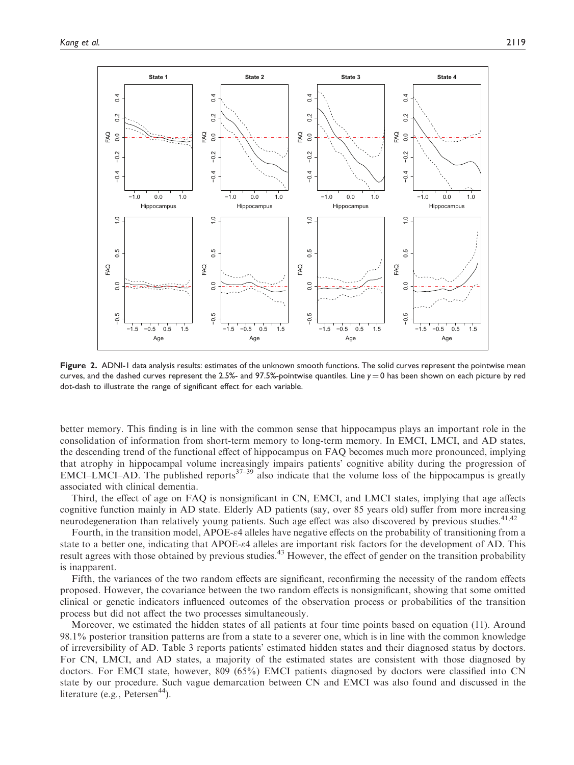

Figure 2. ADNI-1 data analysis results: estimates of the unknown smooth functions. The solid curves represent the pointwise mean curves, and the dashed curves represent the 2.5%- and 97.5%-pointwise quantiles. Line  $y = 0$  has been shown on each picture by red dot-dash to illustrate the range of significant effect for each variable.

better memory. This finding is in line with the common sense that hippocampus plays an important role in the consolidation of information from short-term memory to long-term memory. In EMCI, LMCI, and AD states, the descending trend of the functional effect of hippocampus on FAQ becomes much more pronounced, implying that atrophy in hippocampal volume increasingly impairs patients' cognitive ability during the progression of  $EMCI-LMCI-AD$ . The published reports<sup>37–39</sup> also indicate that the volume loss of the hippocampus is greatly associated with clinical dementia.

Third, the effect of age on FAQ is nonsignificant in CN, EMCI, and LMCI states, implying that age affects cognitive function mainly in AD state. Elderly AD patients (say, over 85 years old) suffer from more increasing neurodegeneration than relatively young patients. Such age effect was also discovered by previous studies.<sup>41,42</sup>

Fourth, in the transition model, APOE- $\varepsilon$ 4 alleles have negative effects on the probability of transitioning from a state to a better one, indicating that APOE- $\epsilon$ 4 alleles are important risk factors for the development of AD. This result agrees with those obtained by previous studies.<sup>43</sup> However, the effect of gender on the transition probability is inapparent.

Fifth, the variances of the two random effects are significant, reconfirming the necessity of the random effects proposed. However, the covariance between the two random effects is nonsignificant, showing that some omitted clinical or genetic indicators influenced outcomes of the observation process or probabilities of the transition process but did not affect the two processes simultaneously.

Moreover, we estimated the hidden states of all patients at four time points based on equation (11). Around 98.1% posterior transition patterns are from a state to a severer one, which is in line with the common knowledge of irreversibility of AD. Table 3 reports patients' estimated hidden states and their diagnosed status by doctors. For CN, LMCI, and AD states, a majority of the estimated states are consistent with those diagnosed by doctors. For EMCI state, however, 809 (65%) EMCI patients diagnosed by doctors were classified into CN state by our procedure. Such vague demarcation between CN and EMCI was also found and discussed in the literature (e.g., Petersen $44$ ).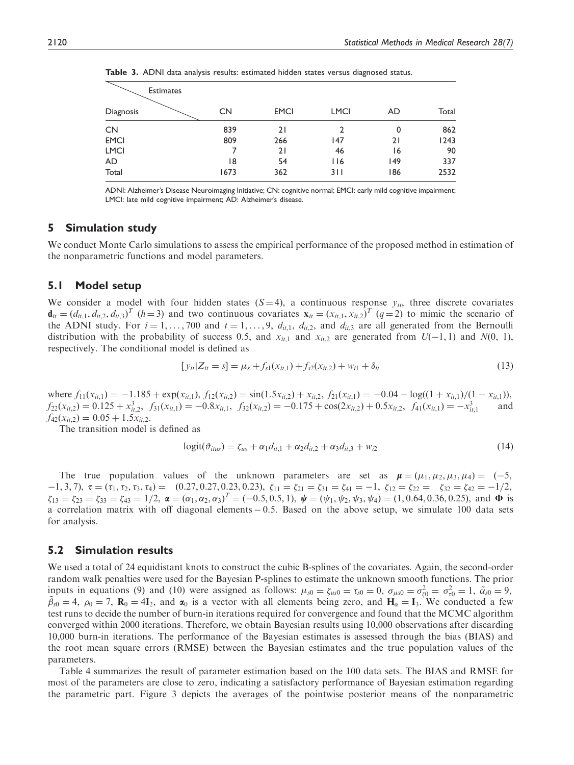| <b>Estimates</b> |           |             |             |     |       |  |  |  |  |
|------------------|-----------|-------------|-------------|-----|-------|--|--|--|--|
| Diagnosis        | <b>CN</b> | <b>EMCI</b> | <b>LMCI</b> | AD. | Total |  |  |  |  |
| <b>CN</b>        | 839       | 21          |             | 0   | 862   |  |  |  |  |
| <b>EMCI</b>      | 809       | 266         | 147         | 21  | 1243  |  |  |  |  |
| <b>LMCI</b>      |           | 21          | 46          | 16  | 90    |  |  |  |  |
| AD               | 18        | 54          | 116         | 149 | 337   |  |  |  |  |
| Total            | 1673      | 362         | 311         | 186 | 2532  |  |  |  |  |

Table 3. ADNI data analysis results: estimated hidden states versus diagnosed status.

ADNI: Alzheimer's Disease Neuroimaging Initiative; CN: cognitive normal; EMCI: early mild cognitive impairment; LMCI: late mild cognitive impairment; AD: Alzheimer's disease.

# 5 Simulation study

We conduct Monte Carlo simulations to assess the empirical performance of the proposed method in estimation of the nonparametric functions and model parameters.

## 5.1 Model setup

We consider a model with four hidden states  $(S=4)$ , a continuous response  $y_{it}$ , three discrete covariates  $\mathbf{d}_{it} = (d_{it,1}, d_{it,2}, d_{it,3})^T$  (h=3) and two continuous covariates  $\mathbf{x}_{it} = (x_{it,1}, x_{it,2})^T$  (q=2) to mimic the scenario of the ADNI study. For  $i = 1, ..., 700$  and  $t = 1, ..., 9, d_{it,1}, d_{it,2}$ , and  $d_{it,3}$  are all generated from the Bernoulli distribution with the probability of success 0.5, and  $x_{it,1}$  and  $x_{it,2}$  are generated from  $U(-1, 1)$  and  $N(0, 1)$ , respectively. The conditional model is defined as

$$
[y_{it}|Z_{it} = s] = \mu_s + f_{s1}(x_{it,1}) + f_{s2}(x_{it,2}) + w_{i1} + \delta_{it}
$$
\n(13)

where  $f_{11}(x_{it,1}) = -1.185 + \exp(x_{it,1}), f_{12}(x_{it,2}) = \sin(1.5x_{it,2}) + x_{it,2}, f_{21}(x_{it,1}) = -0.04 - \log((1 + x_{it,1})/(1 - x_{it,1})),$  $f_{22}(x_{it,2}) = 0.125 + x_{it,2}^3$ ,  $f_{31}(x_{it,1}) = -0.8x_{it,1}$ ,  $f_{32}(x_{it,2}) = -0.175 + \cos(2x_{it,2}) + 0.5x_{it,2}$ ,  $f_{41}(x_{it,1}) = -x_{it,1}^3$  and  $f_{42}(x_{it,2}) = 0.05 + 1.5x_{it,2}$ .

The transition model is defined as

$$
logit(\vartheta_{itus}) = \zeta_{us} + \alpha_1 d_{it,1} + \alpha_2 d_{it,2} + \alpha_3 d_{it,3} + w_{i2}
$$
 (14)

The true population values of the unknown parameters are set as  $\mu = (\mu_1, \mu_2, \mu_3, \mu_4) = (-5, 1, 2, \mu_5)$  $1, 3, 7$ ,  $\tau = (\tau_1, \tau_2, \tau_3, \tau_4) = (0.27, 0.27, 0.23, 0.23), \zeta_{11} = \zeta_{21} = \zeta_{31} = \zeta_{41} = -1, \zeta_{12} = \zeta_{22} = \zeta_{32} = \zeta_{42} = -1/2,$  $\zeta_{13} = \zeta_{23} = \zeta_{33} = \zeta_{43} = 1/2$ ,  $\boldsymbol{\alpha} = (\alpha_1, \alpha_2, \alpha_3)^T = (-0.5, 0.5, 1)$ ,  $\boldsymbol{\psi} = (\psi_1, \psi_2, \psi_3, \psi_4) = (1, 0.64, 0.36, 0.25)$ , and  $\boldsymbol{\Phi}$  is a correlation matrix with off diagonal elements  $-0.5$ . Based on the above setup, we simulate 100 data sets for analysis.

## 5.2 Simulation results

We used a total of 24 equidistant knots to construct the cubic B-splines of the covariates. Again, the second-order random walk penalties were used for the Bayesian P-splines to estimate the unknown smooth functions. The prior inputs in equations (9) and (10) were assigned as follows:  $\mu_{s0} = \zeta_{u0} = \tau_{s0} = 0$ ,  $\sigma_{\mu s0} = \sigma_{\zeta 0}^2 = \sigma_{\tau 0}^2 = 1$ ,  $\tilde{\alpha}_{s0} = 9$ ,  $\tilde{\beta}_{s0} = 4$ ,  $\rho_0 = 7$ ,  $\mathbf{R}_0 = 4\mathbf{I}_2$ , and  $\alpha_0$  is a vector with all elements being zero, and  $\mathbf{H}_{\alpha} = \mathbf{I}_3$ . We conducted a few test runs to decide the number of burn-in iterations required for convergence and found that the MCMC algorithm converged within 2000 iterations. Therefore, we obtain Bayesian results using 10,000 observations after discarding 10,000 burn-in iterations. The performance of the Bayesian estimates is assessed through the bias (BIAS) and the root mean square errors (RMSE) between the Bayesian estimates and the true population values of the parameters.

Table 4 summarizes the result of parameter estimation based on the 100 data sets. The BIAS and RMSE for most of the parameters are close to zero, indicating a satisfactory performance of Bayesian estimation regarding the parametric part. Figure 3 depicts the averages of the pointwise posterior means of the nonparametric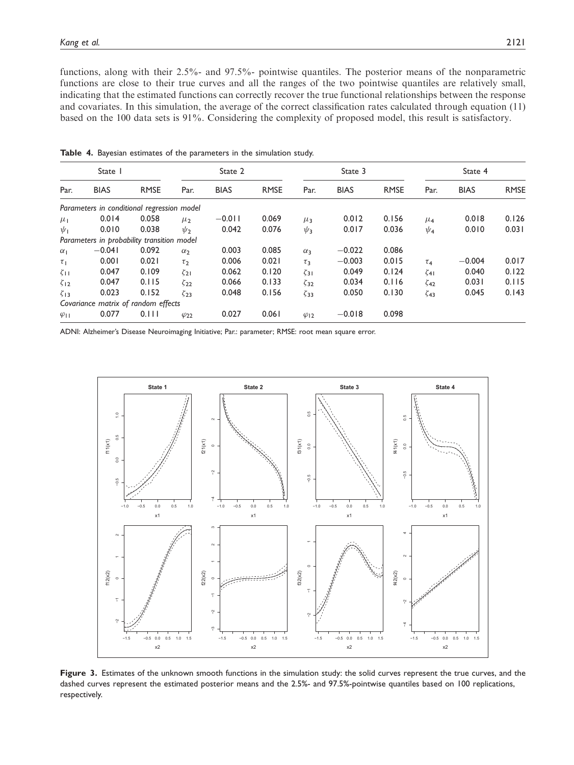functions, along with their 2.5%- and 97.5%- pointwise quantiles. The posterior means of the nonparametric functions are close to their true curves and all the ranges of the two pointwise quantiles are relatively small, indicating that the estimated functions can correctly recover the true functional relationships between the response and covariates. In this simulation, the average of the correct classification rates calculated through equation (11) based on the 100 data sets is 91%. Considering the complexity of proposed model, this result is satisfactory.

| State 1        |                                            |             |                | State 2     |             |                       |             | State 3     |                    | State 4     |             |  |
|----------------|--------------------------------------------|-------------|----------------|-------------|-------------|-----------------------|-------------|-------------|--------------------|-------------|-------------|--|
| Par.           | <b>BIAS</b>                                | <b>RMSE</b> | Par.           | <b>BIAS</b> | <b>RMSE</b> | Par.                  | <b>BIAS</b> | <b>RMSE</b> | Par.               | <b>BIAS</b> | <b>RMSE</b> |  |
|                | Parameters in conditional regression model |             |                |             |             |                       |             |             |                    |             |             |  |
| $\mu_{\rm I}$  | 0.014                                      | 0.058       | $\mu_2$        | $-0.011$    | 0.069       | $\mu_3$               | 0.012       | 0.156       | $\mu$ <sub>4</sub> | 0.018       | 0.126       |  |
| $\psi_1$       | 0.010                                      | 0.038       | $\psi_2$       | 0.042       | 0.076       | $\psi_3$              | 0.017       | 0.036       | $\psi_4$           | 0.010       | 0.031       |  |
|                | Parameters in probability transition model |             |                |             |             |                       |             |             |                    |             |             |  |
| $\alpha_1$     | $-0.041$                                   | 0.092       | $\alpha_2$     | 0.003       | 0.085       | $\alpha_3$            | $-0.022$    | 0.086       |                    |             |             |  |
| $\tau_1$       | 0.001                                      | 0.021       | $\tau_2$       | 0.006       | 0.021       | $\tau_3$              | $-0.003$    | 0.015       | $\tau_4$           | $-0.004$    | 0.017       |  |
| $\zeta_{11}$   | 0.047                                      | 0.109       | $\zeta_{21}$   | 0.062       | 0.120       | $\zeta$ <sub>31</sub> | 0.049       | 0.124       | $\zeta$ 41         | 0.040       | 0.122       |  |
| $\zeta_{12}$   | 0.047                                      | 0.115       | $\zeta_{22}$   | 0.066       | 0.133       | $\zeta_{32}$          | 0.034       | 0.116       | $\zeta_{42}$       | 0.031       | 0.115       |  |
| $\zeta_{13}$   | 0.023                                      | 0.152       | $\zeta_{23}$   | 0.048       | 0.156       | $\zeta_{33}$          | 0.050       | 0.130       | $\zeta$ 43         | 0.045       | 0.143       |  |
|                | Covariance matrix of random effects        |             |                |             |             |                       |             |             |                    |             |             |  |
| $\varphi_{11}$ | 0.077                                      | 0.111       | $\varphi_{22}$ | 0.027       | 0.061       | $\varphi_{12}$        | $-0.018$    | 0.098       |                    |             |             |  |

Table 4. Bayesian estimates of the parameters in the simulation study.

ADNI: Alzheimer's Disease Neuroimaging Initiative; Par.: parameter; RMSE: root mean square error.



Figure 3. Estimates of the unknown smooth functions in the simulation study: the solid curves represent the true curves, and the dashed curves represent the estimated posterior means and the 2.5%- and 97.5%-pointwise quantiles based on 100 replications, respectively.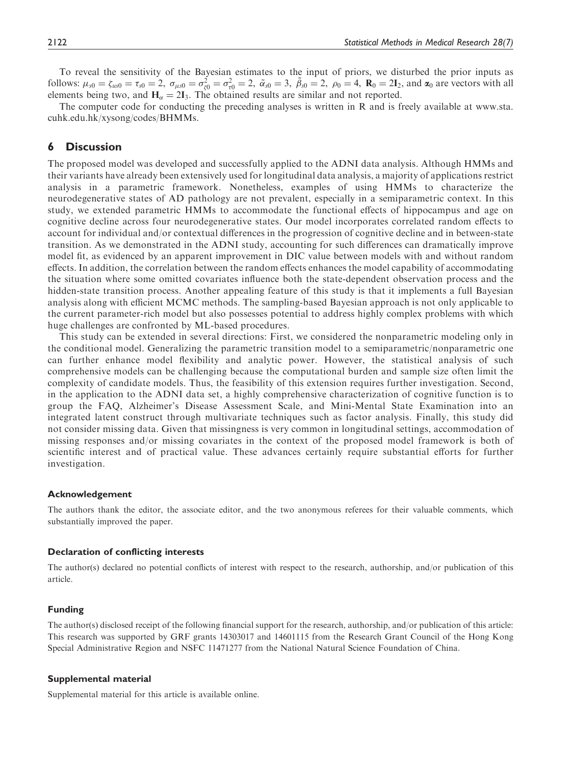To reveal the sensitivity of the Bayesian estimates to the input of priors, we disturbed the prior inputs as follows:  $\mu_{s0} = \zeta_{u s0} = \tau_{s0} = 2$ ,  $\sigma_{\mu s0} = \sigma_{\zeta 0}^2 = \sigma_{\tau 0}^2 = 2$ ,  $\tilde{\alpha}_{s0} = 3$ ,  $\tilde{\beta}_{s0} = 2$ ,  $\rho_0 = 4$ ,  $\mathbf{R}_0 = 2\mathbf{I}_2$ , and  $\alpha_0$  are vectors with all elements being two, and  $H_{\alpha} = 2I_3$ . The obtained results are similar and not reported.

The computer code for conducting the preceding analyses is written in R and is freely available at [www.sta.](www.sta.cuhk.edu.hk/xysong/codes/BHMMs) [cuhk.edu.hk/xysong/codes/BHMMs.](www.sta.cuhk.edu.hk/xysong/codes/BHMMs)

# 6 Discussion

The proposed model was developed and successfully applied to the ADNI data analysis. Although HMMs and their variants have already been extensively used for longitudinal data analysis, a majority of applications restrict analysis in a parametric framework. Nonetheless, examples of using HMMs to characterize the neurodegenerative states of AD pathology are not prevalent, especially in a semiparametric context. In this study, we extended parametric HMMs to accommodate the functional effects of hippocampus and age on cognitive decline across four neurodegenerative states. Our model incorporates correlated random effects to account for individual and/or contextual differences in the progression of cognitive decline and in between-state transition. As we demonstrated in the ADNI study, accounting for such differences can dramatically improve model fit, as evidenced by an apparent improvement in DIC value between models with and without random effects. In addition, the correlation between the random effects enhances the model capability of accommodating the situation where some omitted covariates influence both the state-dependent observation process and the hidden-state transition process. Another appealing feature of this study is that it implements a full Bayesian analysis along with efficient MCMC methods. The sampling-based Bayesian approach is not only applicable to the current parameter-rich model but also possesses potential to address highly complex problems with which huge challenges are confronted by ML-based procedures.

This study can be extended in several directions: First, we considered the nonparametric modeling only in the conditional model. Generalizing the parametric transition model to a semiparametric/nonparametric one can further enhance model flexibility and analytic power. However, the statistical analysis of such comprehensive models can be challenging because the computational burden and sample size often limit the complexity of candidate models. Thus, the feasibility of this extension requires further investigation. Second, in the application to the ADNI data set, a highly comprehensive characterization of cognitive function is to group the FAQ, Alzheimer's Disease Assessment Scale, and Mini-Mental State Examination into an integrated latent construct through multivariate techniques such as factor analysis. Finally, this study did not consider missing data. Given that missingness is very common in longitudinal settings, accommodation of missing responses and/or missing covariates in the context of the proposed model framework is both of scientific interest and of practical value. These advances certainly require substantial efforts for further investigation.

#### Acknowledgement

The authors thank the editor, the associate editor, and the two anonymous referees for their valuable comments, which substantially improved the paper.

#### Declaration of conflicting interests

The author(s) declared no potential conflicts of interest with respect to the research, authorship, and/or publication of this article.

#### Funding

The author(s) disclosed receipt of the following financial support for the research, authorship, and/or publication of this article: This research was supported by GRF grants 14303017 and 14601115 from the Research Grant Council of the Hong Kong Special Administrative Region and NSFC 11471277 from the National Natural Science Foundation of China.

#### Supplemental material

Supplemental material for this article is available online.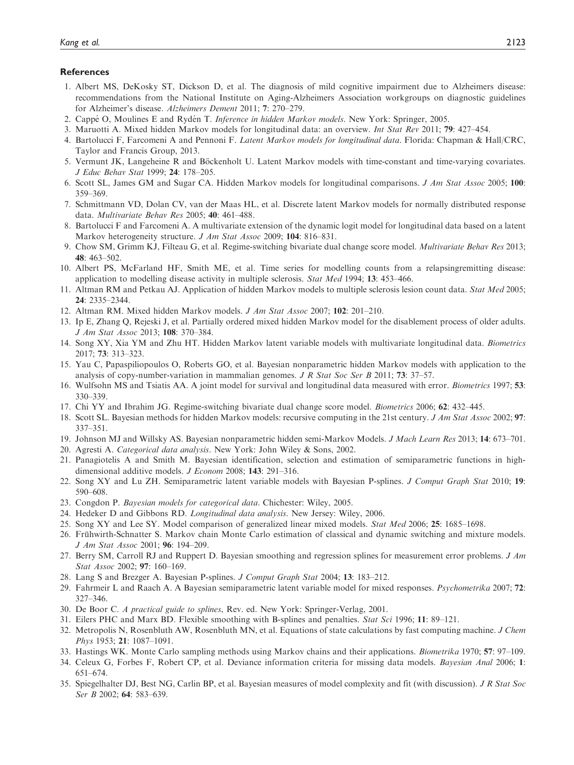#### **References**

- 1. Albert MS, DeKosky ST, Dickson D, et al. The diagnosis of mild cognitive impairment due to Alzheimers disease: recommendations from the National Institute on Aging-Alzheimers Association workgroups on diagnostic guidelines for Alzheimer's disease. Alzheimers Dement 2011; 7: 270–279.
- 2. Cappé O, Moulines E and Rydén T. Inference in hidden Markov models. New York: Springer, 2005.
- 3. Maruotti A. Mixed hidden Markov models for longitudinal data: an overview. Int Stat Rev 2011; 79: 427–454.
- 4. Bartolucci F, Farcomeni A and Pennoni F. Latent Markov models for longitudinal data. Florida: Chapman & Hall/CRC, Taylor and Francis Group, 2013.
- 5. Vermunt JK, Langeheine R and Böckenholt U. Latent Markov models with time-constant and time-varying covariates. J Educ Behav Stat 1999; 24: 178–205.
- 6. Scott SL, James GM and Sugar CA. Hidden Markov models for longitudinal comparisons. J Am Stat Assoc 2005; 100: 359–369.
- 7. Schmittmann VD, Dolan CV, van der Maas HL, et al. Discrete latent Markov models for normally distributed response data. Multivariate Behav Res 2005; 40: 461–488.
- 8. Bartolucci F and Farcomeni A. A multivariate extension of the dynamic logit model for longitudinal data based on a latent Markov heterogeneity structure. J Am Stat Assoc 2009; 104: 816-831.
- 9. Chow SM, Grimm KJ, Filteau G, et al. Regime-switching bivariate dual change score model. Multivariate Behav Res 2013; 48: 463–502.
- 10. Albert PS, McFarland HF, Smith ME, et al. Time series for modelling counts from a relapsingremitting disease: application to modelling disease activity in multiple sclerosis. Stat Med 1994; 13: 453–466.
- 11. Altman RM and Petkau AJ. Application of hidden Markov models to multiple sclerosis lesion count data. Stat Med 2005; 24: 2335–2344.
- 12. Altman RM. Mixed hidden Markov models. J Am Stat Assoc 2007; 102: 201–210.
- 13. Ip E, Zhang Q, Rejeski J, et al. Partially ordered mixed hidden Markov model for the disablement process of older adults. J Am Stat Assoc 2013; 108: 370–384.
- 14. Song XY, Xia YM and Zhu HT. Hidden Markov latent variable models with multivariate longitudinal data. Biometrics 2017; 73: 313–323.
- 15. Yau C, Papaspiliopoulos O, Roberts GO, et al. Bayesian nonparametric hidden Markov models with application to the analysis of copy-number-variation in mammalian genomes. J R Stat Soc Ser B 2011; 73: 37–57.
- 16. Wulfsohn MS and Tsiatis AA. A joint model for survival and longitudinal data measured with error. Biometrics 1997; 53: 330–339.
- 17. Chi YY and Ibrahim JG. Regime-switching bivariate dual change score model. Biometrics 2006; 62: 432–445.
- 18. Scott SL. Bayesian methods for hidden Markov models: recursive computing in the 21st century. J Am Stat Assoc 2002; 97: 337–351.
- 19. Johnson MJ and Willsky AS. Bayesian nonparametric hidden semi-Markov Models. J Mach Learn Res 2013; 14: 673–701.
- 20. Agresti A. Categorical data analysis. New York: John Wiley & Sons, 2002.
- 21. Panagiotelis A and Smith M. Bayesian identification, selection and estimation of semiparametric functions in highdimensional additive models. *J Econom* 2008; 143: 291-316.
- 22. Song XY and Lu ZH. Semiparametric latent variable models with Bayesian P-splines. J Comput Graph Stat 2010; 19: 590–608.
- 23. Congdon P. Bayesian models for categorical data. Chichester: Wiley, 2005.
- 24. Hedeker D and Gibbons RD. Longitudinal data analysis. New Jersey: Wiley, 2006.
- 25. Song XY and Lee SY. Model comparison of generalized linear mixed models. Stat Med 2006; 25: 1685–1698.
- 26. Frühwirth-Schnatter S. Markov chain Monte Carlo estimation of classical and dynamic switching and mixture models. J Am Stat Assoc 2001; 96: 194–209.
- 27. Berry SM, Carroll RJ and Ruppert D. Bayesian smoothing and regression splines for measurement error problems. J Am Stat Assoc 2002; 97: 160–169.
- 28. Lang S and Brezger A. Bayesian P-splines. J Comput Graph Stat 2004; 13: 183–212.
- 29. Fahrmeir L and Raach A. A Bayesian semiparametric latent variable model for mixed responses. Psychometrika 2007; 72: 327–346.
- 30. De Boor C. A practical guide to splines, Rev. ed. New York: Springer-Verlag, 2001.
- 31. Eilers PHC and Marx BD. Flexible smoothing with B-splines and penalties. Stat Sci 1996; 11: 89–121.
- 32. Metropolis N, Rosenbluth AW, Rosenbluth MN, et al. Equations of state calculations by fast computing machine. J Chem *Phys* 1953; **21**: 1087–1091.
- 33. Hastings WK. Monte Carlo sampling methods using Markov chains and their applications. Biometrika 1970; 57: 97–109.
- 34. Celeux G, Forbes F, Robert CP, et al. Deviance information criteria for missing data models. Bayesian Anal 2006; 1: 651–674.
- 35. Spiegelhalter DJ, Best NG, Carlin BP, et al. Bayesian measures of model complexity and fit (with discussion). J R Stat Soc Ser B 2002; 64: 583-639.